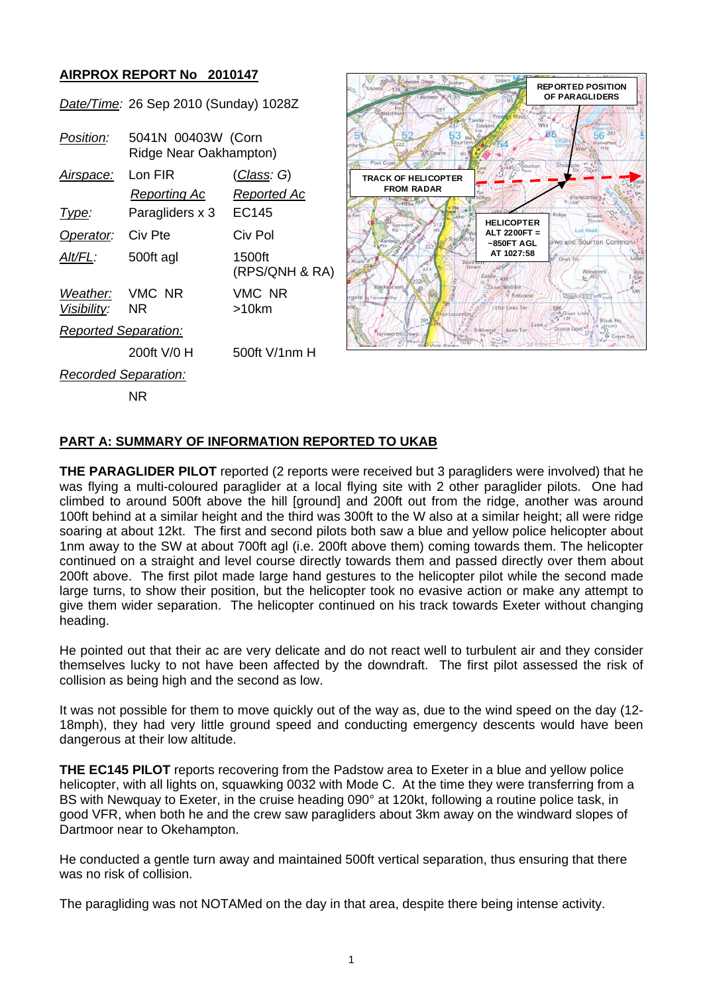## **AIRPROX REPORT No 2010147**

NR

*Date/Time:* 26 Sep 2010 (Sunday) 1028Z

| Position:                         | 5041N 00403W (Corn<br>Ridge Near Oakhampton) |                          |
|-----------------------------------|----------------------------------------------|--------------------------|
| Airspace:                         | Lon FIR                                      | <u>(Class</u> : G)       |
|                                   | Reporting Ac                                 | Reported Ac              |
| Type:                             | Paragliders x 3                              | EC145                    |
| Operator:                         | Civ Pte                                      | Civ Pol                  |
| Alt/FL:                           | 500ft agl                                    | 1500ft<br>(RPS/QNH & RA) |
| Weather: VMC NR<br>Visibility: NR |                                              | VMC NR<br>>10km          |
| <b>Reported Separation:</b>       |                                              |                          |
|                                   | 200ft V/0 H                                  | 500ft V/1nm H            |
| <b>Recorded Separation:</b>       |                                              |                          |



## **PART A: SUMMARY OF INFORMATION REPORTED TO UKAB**

**THE PARAGLIDER PILOT** reported (2 reports were received but 3 paragliders were involved) that he was flying a multi-coloured paraglider at a local flying site with 2 other paraglider pilots. One had climbed to around 500ft above the hill [ground] and 200ft out from the ridge, another was around 100ft behind at a similar height and the third was 300ft to the W also at a similar height; all were ridge soaring at about 12kt. The first and second pilots both saw a blue and yellow police helicopter about 1nm away to the SW at about 700ft agl (i.e. 200ft above them) coming towards them. The helicopter continued on a straight and level course directly towards them and passed directly over them about 200ft above. The first pilot made large hand gestures to the helicopter pilot while the second made large turns, to show their position, but the helicopter took no evasive action or make any attempt to give them wider separation. The helicopter continued on his track towards Exeter without changing heading.

He pointed out that their ac are very delicate and do not react well to turbulent air and they consider themselves lucky to not have been affected by the downdraft. The first pilot assessed the risk of collision as being high and the second as low.

It was not possible for them to move quickly out of the way as, due to the wind speed on the day (12- 18mph), they had very little ground speed and conducting emergency descents would have been dangerous at their low altitude.

**THE EC145 PILOT** reports recovering from the Padstow area to Exeter in a blue and yellow police helicopter, with all lights on, squawking 0032 with Mode C. At the time they were transferring from a BS with Newquay to Exeter, in the cruise heading 090° at 120kt, following a routine police task, in good VFR, when both he and the crew saw paragliders about 3km away on the windward slopes of Dartmoor near to Okehampton.

He conducted a gentle turn away and maintained 500ft vertical separation, thus ensuring that there was no risk of collision.

The paragliding was not NOTAMed on the day in that area, despite there being intense activity.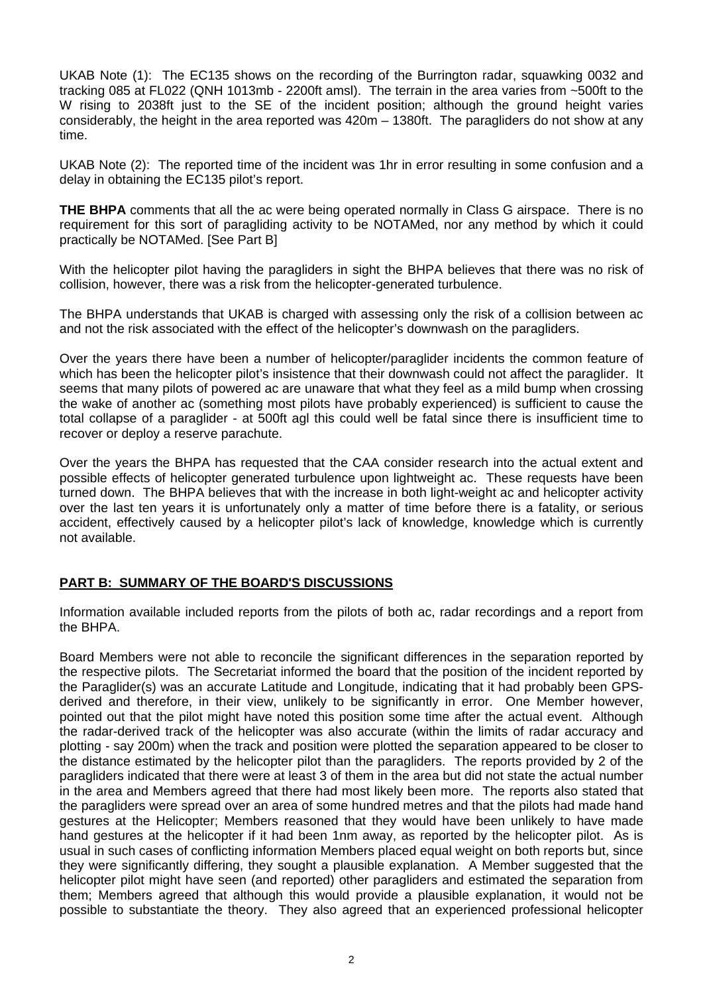UKAB Note (1): The EC135 shows on the recording of the Burrington radar, squawking 0032 and tracking 085 at FL022 (QNH 1013mb - 2200ft amsl). The terrain in the area varies from ~500ft to the W rising to 2038ft just to the SE of the incident position; although the ground height varies considerably, the height in the area reported was 420m – 1380ft. The paragliders do not show at any time.

UKAB Note (2): The reported time of the incident was 1hr in error resulting in some confusion and a delay in obtaining the EC135 pilot's report.

**THE BHPA** comments that all the ac were being operated normally in Class G airspace. There is no requirement for this sort of paragliding activity to be NOTAMed, nor any method by which it could practically be NOTAMed. [See Part B]

With the helicopter pilot having the paragliders in sight the BHPA believes that there was no risk of collision, however, there was a risk from the helicopter-generated turbulence.

The BHPA understands that UKAB is charged with assessing only the risk of a collision between ac and not the risk associated with the effect of the helicopter's downwash on the paragliders.

Over the years there have been a number of helicopter/paraglider incidents the common feature of which has been the helicopter pilot's insistence that their downwash could not affect the paraglider. It seems that many pilots of powered ac are unaware that what they feel as a mild bump when crossing the wake of another ac (something most pilots have probably experienced) is sufficient to cause the total collapse of a paraglider - at 500ft agl this could well be fatal since there is insufficient time to recover or deploy a reserve parachute.

Over the years the BHPA has requested that the CAA consider research into the actual extent and possible effects of helicopter generated turbulence upon lightweight ac. These requests have been turned down. The BHPA believes that with the increase in both light-weight ac and helicopter activity over the last ten years it is unfortunately only a matter of time before there is a fatality, or serious accident, effectively caused by a helicopter pilot's lack of knowledge, knowledge which is currently not available.

## **PART B: SUMMARY OF THE BOARD'S DISCUSSIONS**

Information available included reports from the pilots of both ac, radar recordings and a report from the BHPA.

Board Members were not able to reconcile the significant differences in the separation reported by the respective pilots. The Secretariat informed the board that the position of the incident reported by the Paraglider(s) was an accurate Latitude and Longitude, indicating that it had probably been GPSderived and therefore, in their view, unlikely to be significantly in error. One Member however, pointed out that the pilot might have noted this position some time after the actual event. Although the radar-derived track of the helicopter was also accurate (within the limits of radar accuracy and plotting - say 200m) when the track and position were plotted the separation appeared to be closer to the distance estimated by the helicopter pilot than the paragliders. The reports provided by 2 of the paragliders indicated that there were at least 3 of them in the area but did not state the actual number in the area and Members agreed that there had most likely been more. The reports also stated that the paragliders were spread over an area of some hundred metres and that the pilots had made hand gestures at the Helicopter; Members reasoned that they would have been unlikely to have made hand gestures at the helicopter if it had been 1nm away, as reported by the helicopter pilot. As is usual in such cases of conflicting information Members placed equal weight on both reports but, since they were significantly differing, they sought a plausible explanation. A Member suggested that the helicopter pilot might have seen (and reported) other paragliders and estimated the separation from them; Members agreed that although this would provide a plausible explanation, it would not be possible to substantiate the theory. They also agreed that an experienced professional helicopter